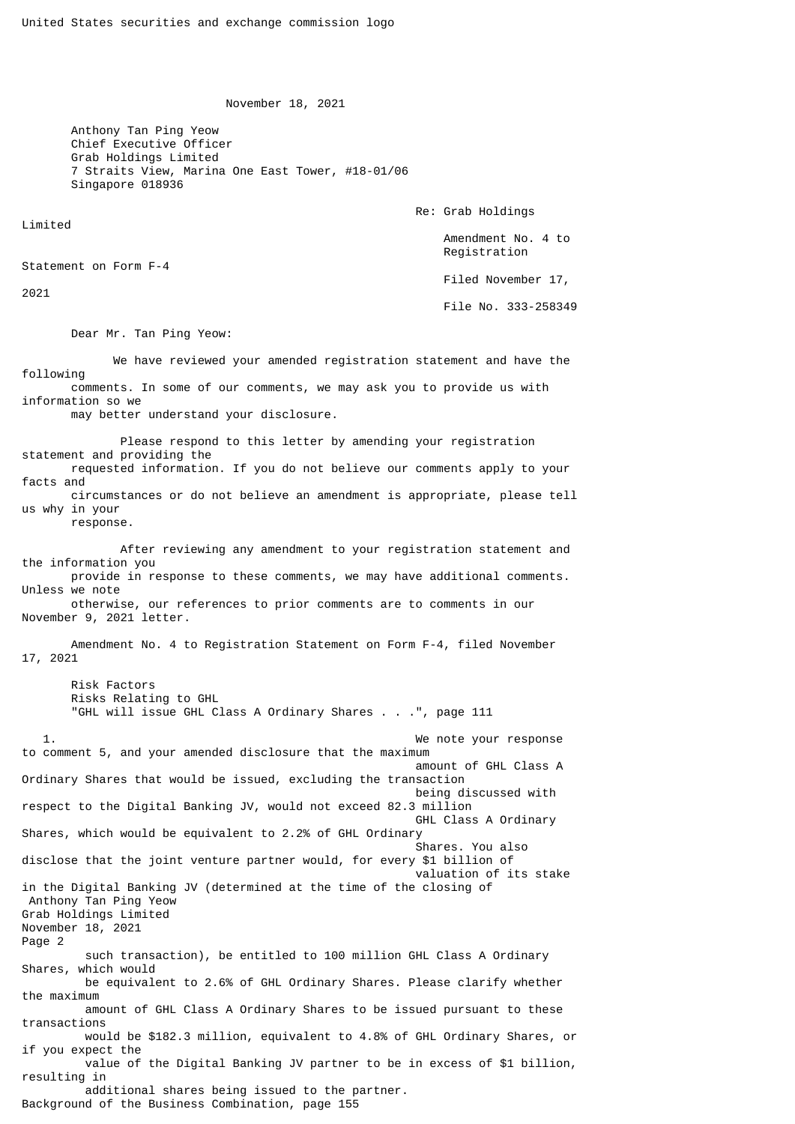November 18, 2021

 Anthony Tan Ping Yeow Chief Executive Officer Grab Holdings Limited 7 Straits View, Marina One East Tower, #18-01/06 Singapore 018936

Re: Grab Holdings

 Amendment No. 4 to Registration

Filed November 17,

File No. 333-258349

Dear Mr. Tan Ping Yeow:

 We have reviewed your amended registration statement and have the following comments. In some of our comments, we may ask you to provide us with information so we may better understand your disclosure.

 Please respond to this letter by amending your registration statement and providing the requested information. If you do not believe our comments apply to your facts and circumstances or do not believe an amendment is appropriate, please tell us why in your response.

 After reviewing any amendment to your registration statement and the information you provide in response to these comments, we may have additional comments. Unless we note otherwise, our references to prior comments are to comments in our November 9, 2021 letter. Amendment No. 4 to Registration Statement on Form F-4, filed November 17, 2021 Risk Factors Risks Relating to GHL "GHL will issue GHL Class A Ordinary Shares . . .", page 111 1. We note your response to comment 5, and your amended disclosure that the maximum amount of GHL Class A Ordinary Shares that would be issued, excluding the transaction being discussed with respect to the Digital Banking JV, would not exceed 82.3 million GHL Class A Ordinary Shares, which would be equivalent to 2.2% of GHL Ordinary Shares. You also disclose that the joint venture partner would, for every \$1 billion of valuation of its stake in the Digital Banking JV (determined at the time of the closing of Anthony Tan Ping Yeow Grab Holdings Limited

November 18, 2021 Page 2 such transaction), be entitled to 100 million GHL Class A Ordinary Shares, which would be equivalent to 2.6% of GHL Ordinary Shares. Please clarify whether the maximum amount of GHL Class A Ordinary Shares to be issued pursuant to these transactions would be \$182.3 million, equivalent to 4.8% of GHL Ordinary Shares, or if you expect the value of the Digital Banking JV partner to be in excess of \$1 billion, resulting in additional shares being issued to the partner.

Background of the Business Combination, page 155

Limited

2021

Statement on Form F-4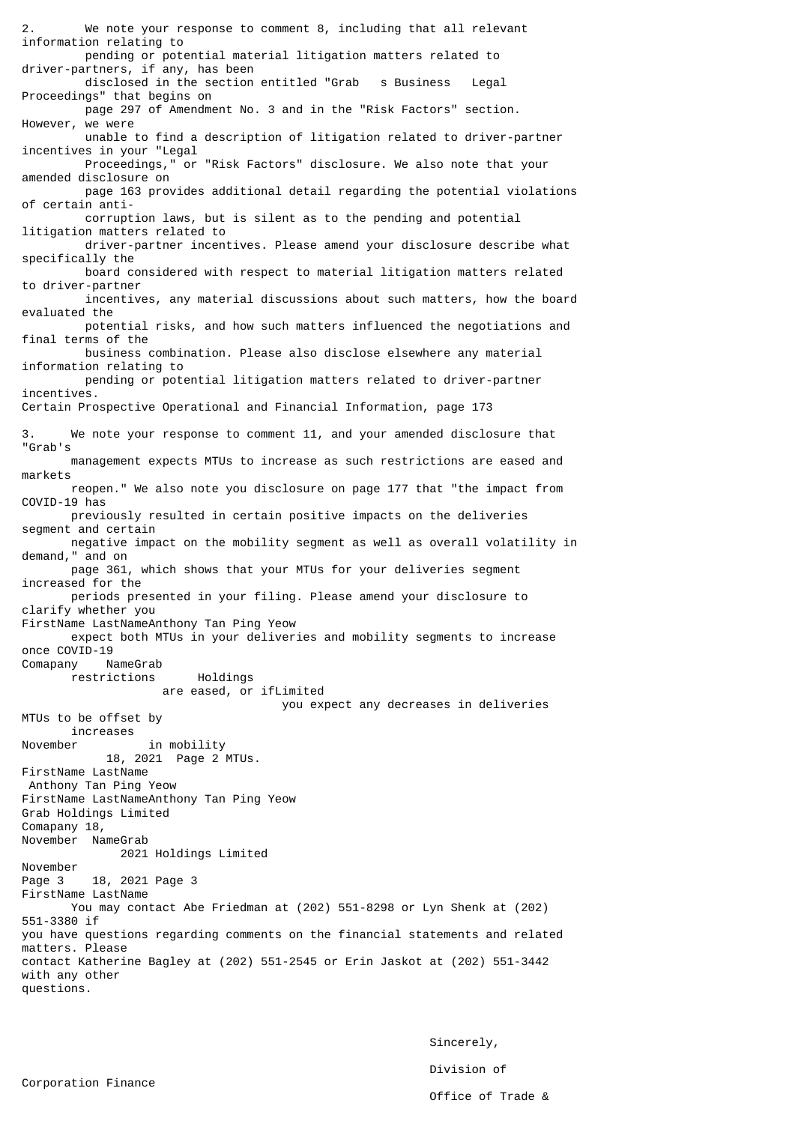We note your response to comment 8, including that all relevant information relating to pending or potential material litigation matters related to driver-partners, if any, has been disclosed in the section entitled "Grab s Business Legal Proceedings" that begins on page 297 of Amendment No. 3 and in the "Risk Factors" section. However, we were unable to find a description of litigation related to driver-partner incentives in your "Legal Proceedings," or "Risk Factors" disclosure. We also note that your amended disclosure on page 163 provides additional detail regarding the potential violations of certain anti corruption laws, but is silent as to the pending and potential litigation matters related to driver-partner incentives. Please amend your disclosure describe what specifically the board considered with respect to material litigation matters related to driver-partner incentives, any material discussions about such matters, how the board evaluated the potential risks, and how such matters influenced the negotiations and final terms of the business combination. Please also disclose elsewhere any material information relating to pending or potential litigation matters related to driver-partner incentives. Certain Prospective Operational and Financial Information, page 173 3. We note your response to comment 11, and your amended disclosure that "Grab's management expects MTUs to increase as such restrictions are eased and markets reopen." We also note you disclosure on page 177 that "the impact from COVID-19 has previously resulted in certain positive impacts on the deliveries segment and certain negative impact on the mobility segment as well as overall volatility in demand," and on page 361, which shows that your MTUs for your deliveries segment increased for the periods presented in your filing. Please amend your disclosure to clarify whether you FirstName LastNameAnthony Tan Ping Yeow expect both MTUs in your deliveries and mobility segments to increase once COVID-19<br>Comapany NameGrab Comapany restrictions Holdings are eased, or ifLimited you expect any decreases in deliveries MTUs to be offset by increases November in mobility 18, 2021 Page 2 MTUs. FirstName LastName Anthony Tan Ping Yeow FirstName LastNameAnthony Tan Ping Yeow Grab Holdings Limited Comapany 18, November NameGrab 2021 Holdings Limited November Page 3 18, 2021 Page 3 FirstName LastName You may contact Abe Friedman at (202) 551-8298 or Lyn Shenk at (202) 551-3380 if you have questions regarding comments on the financial statements and related matters. Please contact Katherine Bagley at (202) 551-2545 or Erin Jaskot at (202) 551-3442 with any other questions.

> Sincerely, Division of Office of Trade &